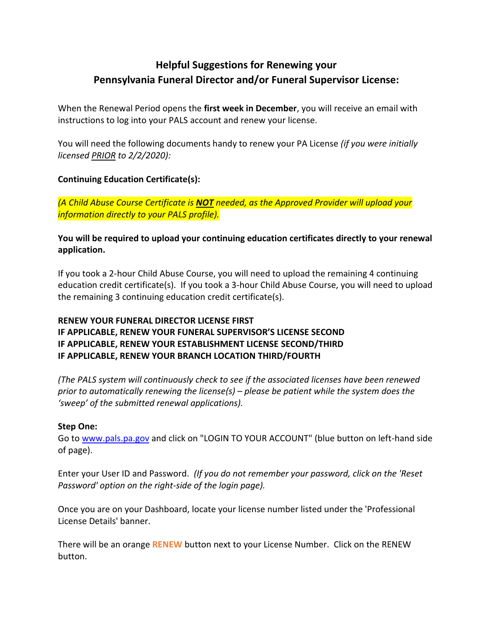# **Helpful Suggestions for Renewing your Pennsylvania Funeral Director and/or Funeral Supervisor License:**

When the Renewal Period opens the **first week in December**, you will receive an email with instructions to log into your PALS account and renew your license.

You will need the following documents handy to renew your PA License *(if you were initially licensed PRIOR to 2/2/2020):*

## **Continuing Education Certificate(s):**

*(A Child Abuse Course Certificate is NOT needed, as the Approved Provider will upload your information directly to your PALS profile).*

**You will be required to upload your continuing education certificates directly to your renewal application.**

If you took a 2-hour Child Abuse Course, you will need to upload the remaining 4 continuing education credit certificate(s). If you took a 3-hour Child Abuse Course, you will need to upload the remaining 3 continuing education credit certificate(s).

# **RENEW YOUR FUNERAL DIRECTOR LICENSE FIRST IF APPLICABLE, RENEW YOUR FUNERAL SUPERVISOR'S LICENSE SECOND IF APPLICABLE, RENEW YOUR ESTABLISHMENT LICENSE SECOND/THIRD IF APPLICABLE, RENEW YOUR BRANCH LOCATION THIRD/FOURTH**

*(The PALS system will continuously check to see if the associated licenses have been renewed prior to automatically renewing the license(s) – please be patient while the system does the 'sweep' of the submitted renewal applications).*

## **Step One:**

Go to [www.pals.pa.gov](http://www.pals.pa.gov/) and click on "LOGIN TO YOUR ACCOUNT" (blue button on left-hand side of page).

Enter your User ID and Password. *(If you do not remember your password, click on the 'Reset Password' option on the right-side of the login page).*

Once you are on your Dashboard, locate your license number listed under the 'Professional License Details' banner.

There will be an orange **RENEW** button next to your License Number. Click on the RENEW button.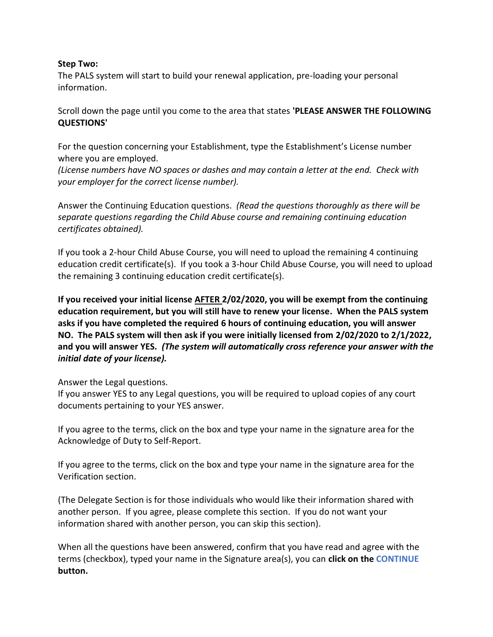#### **Step Two:**

The PALS system will start to build your renewal application, pre-loading your personal information.

Scroll down the page until you come to the area that states **'PLEASE ANSWER THE FOLLOWING QUESTIONS'**

For the question concerning your Establishment, type the Establishment's License number where you are employed.

*(License numbers have NO spaces or dashes and may contain a letter at the end. Check with your employer for the correct license number).* 

Answer the Continuing Education questions. *(Read the questions thoroughly as there will be separate questions regarding the Child Abuse course and remaining continuing education certificates obtained).*

If you took a 2-hour Child Abuse Course, you will need to upload the remaining 4 continuing education credit certificate(s). If you took a 3-hour Child Abuse Course, you will need to upload the remaining 3 continuing education credit certificate(s).

**If you received your initial license AFTER 2/02/2020, you will be exempt from the continuing education requirement, but you will still have to renew your license. When the PALS system asks if you have completed the required 6 hours of continuing education, you will answer NO. The PALS system will then ask if you were initially licensed from 2/02/2020 to 2/1/2022, and you will answer YES.** *(The system will automatically cross reference your answer with the initial date of your license).*

Answer the Legal questions.

If you answer YES to any Legal questions, you will be required to upload copies of any court documents pertaining to your YES answer.

If you agree to the terms, click on the box and type your name in the signature area for the Acknowledge of Duty to Self-Report.

If you agree to the terms, click on the box and type your name in the signature area for the Verification section.

(The Delegate Section is for those individuals who would like their information shared with another person. If you agree, please complete this section. If you do not want your information shared with another person, you can skip this section).

When all the questions have been answered, confirm that you have read and agree with the terms (checkbox), typed your name in the Signature area(s), you can **click on the CONTINUE button.**